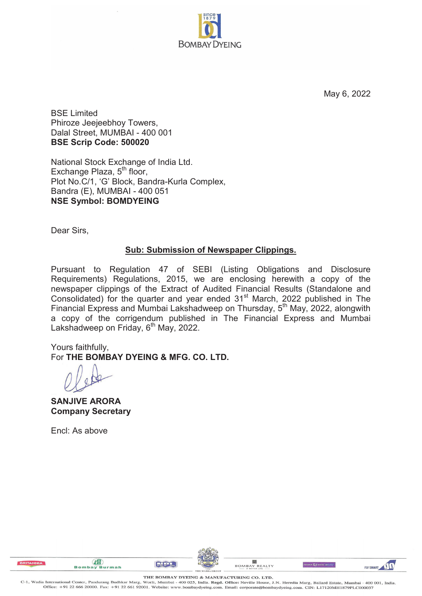

May 6, 2022

BSE Limited Phiroze Jeejeebhoy Towers, Dalal Street, MUMBAI - 400 001 **BSE Scrip Code: 500020** 

National Stock Exchange of India Ltd. Exchange Plaza, 5<sup>th</sup> floor, Plot No.C/1, 'G' Block, Bandra-Kurla Complex, Bandra (E), MUMBAI - 400 051 **NSE Symbol: BOMDYEING** 

Dear Sirs,

## **Sub: Submission of Newspaper Clippings.**

Pursuant to Regulation 47 of SEBI (Listing Obligations and Disclosure Requirements) Regulations, 2015, we are enclosing herewith a copy of the newspaper clippings of the Extract of Audited Financial Results (Standalone and Consolidated) for the quarter and year ended 31<sup>st</sup> March, 2022 published in The Financial Express and Mumbai Lakshadweep on Thursday,  $5<sup>th</sup>$  May, 2022, alongwith a copy of the corrigendum published in The Financial Express and Mumbai Lakshadweep on Friday,  $6<sup>th</sup>$  May, 2022.

Yours faithfully, For **THE BOMBAY DYEING & MFG. CO. LTD.**

**SANJIVE ARORA Company Secretary** 

(追

**Bombay Burmah** 

**BRITANNIA** 

Encl: As above



**ND1** 







THE BOMBAY DYEING & MANUFACTURING CO. LTD.

C-1, Wadia International Center, Pandurang Budhkar Marg, Worli, Mumbai - 400 025, India. Regd. Office: Neville House, J.N. Heredia Marg, Ballard Estate, Mumbai - 400 001, India. Office: +91 22 666 20000. Fax: +91 22 661 92001. Website: www.bombaydyeing.com. Email: corporate@bombaydyeing.com. CIN: L17120MH1879PLC000037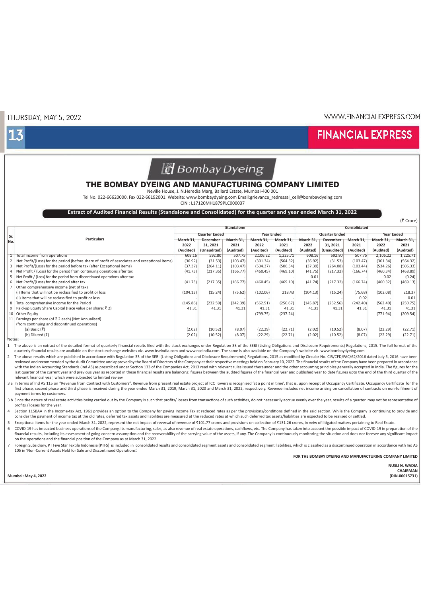#### THURSDAY, MAY 5, 2022

#### WWW.FINANCIALEXPRESS.COM

**FINANCIAL EXPRESS** 



# **d** Bombay Dyeing

#### THE BOMBAY DYEING AND MANUFACTURING COMPANY LIMITED

Neville House, J. N. Heredia Marg, Ballard Estate, Mumbai-400 001

Tel No. 022-66620000. Fax 022-66192001. Website: www.bombaydyeing.com Email:grievance\_redressal\_cell@bombaydyeing.com

CIN: L17120MH1879PLC000037

Extract of Audited Financial Results (Standalone and Consolidated) for the quarter and year ended March 31, 2022

|     |                                                                                               |                      |                 |           |                   |           |                      |             |           |                   | $(v \cup v \cup e)$ |  |  |
|-----|-----------------------------------------------------------------------------------------------|----------------------|-----------------|-----------|-------------------|-----------|----------------------|-------------|-----------|-------------------|---------------------|--|--|
|     |                                                                                               | <b>Standalone</b>    |                 |           |                   |           | Consolidated         |             |           |                   |                     |  |  |
| Sr. |                                                                                               | <b>Quarter Ended</b> |                 |           | <b>Year Ended</b> |           | <b>Quarter Ended</b> |             |           | <b>Year Ended</b> |                     |  |  |
| No. | <b>Particulars</b>                                                                            | March 31,            | <b>December</b> | March 31, | March 31,         | March 31, | March 31,            | December    | March 31, | March 31,         | March 31,           |  |  |
|     |                                                                                               | 2022                 | 31, 2021        | 2021      | 2022              | 2021      | 2022                 | 31, 2021    | 2021      | 2022              | 2021                |  |  |
|     |                                                                                               | (Audited)            | (Unaudited)     | (Audited) | (Audited)         | (Audited) | Audited)             | (Unaudited) | (Audited) | (Audited)         | (Audited)           |  |  |
|     | Total income from operations                                                                  | 608.16               | 592.80          | 507.75    | 2,106.22          | 1,225.71  | 608.16               | 592.80      | 507.75    | 2,106.22          | 1,225.71            |  |  |
|     | Net Profit/(Loss) for the period (before share of profit of associates and exceptional items) | (36.92)              | (31.53)         | (103.47)  | (301.34)          | (564.32)  | (36.92)              | (31.53)     | (103.47)  | (301.34)          | (564.32)            |  |  |
|     | Net Profit/(Loss) for the period before tax (after Exceptional items)                         | (37.37)              | (264.11)        | (103.47)  | (534.37)          | (506.54)  | (37.39)              | (264.08)    | (103.44)  | (534.26)          | (506.33)            |  |  |
|     | Net Profit / (Loss) for the period from continuing operations after tax                       | (41.73)              | (217.35)        | (166.77)  | (460.45)          | (469.10)  | (41.75)              | (217.32)    | (166.74)  | (460.34)          | (468.89)            |  |  |
|     | Net Profit / (Loss) for the period from discontinued operations after tax                     |                      |                 |           |                   |           | 0.01                 |             |           | 0.02              | (0.24)              |  |  |
| 6   | Net Profit/(Loss) for the period after tax                                                    | (41.73)              | (217.35)        | (166.77)  | (460.45)          | (469.10)  | (41.74)              | (217.32)    | (166.74)  | (460.32)          | (469.13)            |  |  |
|     | Other comprehensive income (net of tax)                                                       |                      |                 |           |                   |           |                      |             |           |                   |                     |  |  |
|     | (i) Items that will not be reclassified to profit or loss                                     | (104.13)             | (15.24)         | (75.62)   | (102.06)          | 218.43    | (104.13)             | (15.24)     | (75.68)   | (102.08)          | 218.37              |  |  |
|     | (ii) Items that will be reclassified to profit or loss                                        |                      |                 |           |                   |           |                      |             | 0.02      |                   | 0.01                |  |  |
| 8   | Total comprehensive income for the Period                                                     | (145.86)             | (232.59)        | (242.39)  | (562.51)          | (250.67)  | (145.87)             | (232.56)    | (242.40)  | (562.40)          | (250.75)            |  |  |
|     | Paid-up Equity Share Capital (Face value per share: ₹2)                                       | 41.31                | 41.31           | 41.31     | 41.31             | 41.31     | 41.31                | 41.31       | 41.31     | 41.31             | 41.31               |  |  |
|     | 10 Other Equity                                                                               |                      |                 |           | (799.75)          | (237.24)  |                      |             |           | (771.94)          | (209.54)            |  |  |
|     | 11 Earnings per share (of ₹2 each) (Not Annualised)                                           |                      |                 |           |                   |           |                      |             |           |                   |                     |  |  |
|     | (from continuing and discontinued operations)                                                 |                      |                 |           |                   |           |                      |             |           |                   |                     |  |  |
|     | (a) Basic (₹)                                                                                 | (2.02)               | (10.52)         | (8.07)    | (22.29)           | (22.71)   | (2.02)               | (10.52)     | (8.07)    | (22.29)           | (22.71)             |  |  |
|     | (b) Diluted (₹)                                                                               | (2.02)               | (10.52)         | (8.07)    | (22.29)           | (22.71)   | (2.02)               | (10.52)     | (8.07)    | (22.29)           | (22.71)             |  |  |

The above is an extract of the detailed format of quarterly financial results filed with the stock exchanges under Regulation 33 of the SEBI (Listing Obligations and Disclosure Requirements) Regulations, 2015. The full for quarterly financial results are available on the stock exchange websites viz, www.bseindia.com and www.nseindia.com. The same is also available on the Company's website viz, www.bombaydveing.com

 $\overline{\phantom{a}}$ The above results which are published in accordance with Regulation 33 of the SEBI (Listing Obligations and Disclosure Requirements) Regulations, 2015 as modified by Circular No. CIR/CFD/FAC/62/2016 dated July 5, 2016 have reviewed and recommended by the Audit Committee and approved by the Board of Directors of the Company at their respective meetings held on February 10, 2022. The financial results of the Company have been prepared in accor with the Indian Accounting Standards (Ind AS) as prescribed under Section 133 of the Companies Act, 2013 read with relevant rules issued thereunder and the other accounting principles generally accepted in India. The figur last quarter of the current year and previous year as reported in these financial results are balancing figures between the audited figures of the financial year and published year to date figures upto the end of the third relevant financial year, which were subjected to limited review.

3 a In terms of Ind AS 115 on "Revenue from Contract with Customers", Revenue from present real estate project of ICC Towers is recognised 'at a point in time', that is, upon receipt of Occupancy Certificate. Occupancy Cer first phase, second phase and third phase is received during the year ended March 31, 2019, March 31, 2020 and March 31, 2022, respectively. Revenue includes net income arising on cancellation of contracts on non-fulfilmen payment terms by customers.

3 b Since the nature of real estate activities being carried out by the Company is such that profits/ losses from transactions of such activities, do not necessarily accrue evenly over the year, results of a quarter may no profits / losses for the year.

Section 115BAA in the Income-tax Act, 1961 provides an option to the Company for paying Income Tax at reduced rates as per the provisions/conditions defined in the said section. While the Company is continuing to provide a consider the payment of income tax at the old rates, deferred tax assets and liabilities are measured at the reduced rates at which such deferred tax assets/liabilities are expected to be realised or settled

5 Exceptional items for the year ended March 31, 2022, represent the net impact of reversal of revenue of ₹101.77 crores and provisions on collection of ₹131.26 crores, in veiw of litigated matters pertaining to Real Estat

COVID-19 has impacted business operations of the Company, its manufacturing, sales, as also revenue of real estate operations, cashflows, etc. The Company has taken into account the possible impact of COVID-19 in preparati financial results, including its assessment of going concern assumption and the recoverability of the carrying value of the assets, if any. The Company is continuously monitoring the situation and does nor foresee any sign on the operations and the financial position of the Company as at March 31, 2022.

Foreign Subsidiary, PT Five Star Textile Indonesia (PTFS) is included in consolidated results and consolidated segment assets and consolidated segment liabilities, which is classified as a discontinued operation in accorda  $\overline{7}$ 105 in 'Non-Current Assets Held for Sale and Discontinued Operations'

FOR THE BOMBAY DYEING AND MANUFACTURING COMPANY LIMITED

**NUSLI N. WADIA** CHAIRMAN  $(DIN-00015731)$ 

Mumbai: May 4, 2022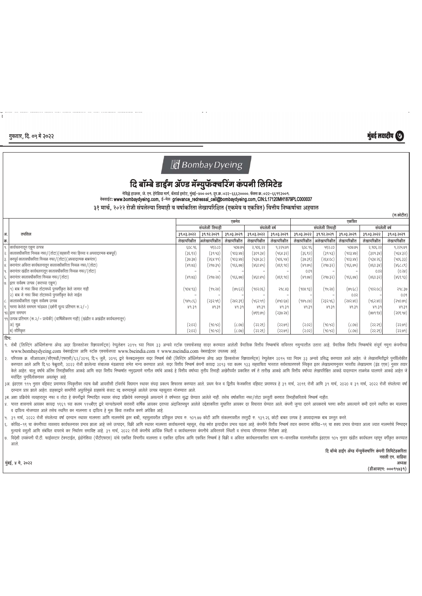#### गुरूवार, दि. ०५ मे २०२२

## **d** Bombay Dyeing

## दि बॉम्बे डाईंग ॲंण्ड मॅन्युफॅक्चरिंग कंपनी लिमिटेड

नेविक्ले हाऊस, जे. एन. हेरेडिया मार्ग, बॅलार्ड इस्टेट, मुंबई–४०० ००१. तुर.क.:०२२–६६६२००००. फॅक्स क्र.:०२२–६६१९२००१.<br>वेबसाईट: www.bombaydyeing.com, ई–मेलः grievance\_redressal\_cell@bombaydyeing.com, CIN:L17120MH1879PLC00003

३१ मार्च, २०२२ रोजी संपलेल्या तिमाही व वर्षाकरिता लेखापरिक्षित (एकमेव व एकत्रित) वित्तीय निष्कर्षाचा अहवाल

|      |                                                                                           |              |                |              |              |              |              |                |              |              | (रू.कोटीत)   |  |  |
|------|-------------------------------------------------------------------------------------------|--------------|----------------|--------------|--------------|--------------|--------------|----------------|--------------|--------------|--------------|--|--|
|      |                                                                                           |              | एकमेव          |              |              |              |              | एकत्रित        |              |              |              |  |  |
|      |                                                                                           |              | संपलेली तिमाही |              |              | संपलेली वर्ष |              | संपलेली तिमाही |              |              | संपलेली वर्ष |  |  |
| अ.   | तपशिल                                                                                     | 39.03.2022   | 39.92.2029     | 39.03.2029   | 39.03.2022   | 39.03.2029   | 39.03.2022   | 39.92.2029     | 39.03.2029   | 39.03.2022   | 39.03.2029   |  |  |
| क्र. |                                                                                           | लेखापरिक्षीत | अलेखापरिक्षीत  | लेखापरिक्षीत | लेखापरिक्षीत | लेखापरिक्षीत | लेखापरिक्षीत | अलेखापरिक्षीत  | लेखापरिक्षीत | लेखापरिक्षीत | लेखापरिक्षीत |  |  |
|      | कार्यचलनातून एकूण उत्पन्न                                                                 | 3P.303       | 492.60         | 4010.194     | 5,908.55     | 9,224.09     | 806.98       | 482.60         | 4019.194     | 5' dog' 55   | 9,224.09     |  |  |
|      | २.  कालावधीकरिता निव्वळ नफा/(तोटा)(सहकारी नफा हिस्सा व अपवादात्मक बाबपूर्व)               | (રૂદ્.૬ર)    | (३१.५३)        | (903.80)     | (309.38)     | (५६४.३२)     | (36.85)      | (३१.५३)        | (903.80)     | (३०१.३४)     | (488.33)     |  |  |
|      | ३.   करपूर्व कालावधीकरिता निव्वळ नफा/(तोटा)(अपवादात्मक बाबनंतर)                           | (30.30)      | (२६४.११)       | (903.80)     | (438.36)     | (५०६.५४)     | (30.38)      | (२६४.०८)       | (१०३.४४)     | (५३४.२६)     | (५०६.३३)     |  |  |
|      | ४.   करानंतर अविरत कार्यचलनातून कालावधीकरिता निव्वळ नफा/(तोटा)                            | (89.03)      | (२१७.३५)       | (१६६.७७)     | (४६०.४५)     | (४६९.१०)     | (89.04)      | (340.35)       | (१९६.७५)     | (४६०.३४)     | (४६८.८९)     |  |  |
|      | करानंतर खंडीत कार्यचलनातून कालावधीकरिता निव्वळ नफा/(तोटा)                                 |              |                |              |              |              | 0.09         |                |              | 0.03         | (0.38)       |  |  |
|      | ६. किरानंतर कालावधीकरिता निव्वळ नफा/(तोटा)                                                | (89.03)      | (२१७.२४)       | (१६६.७७)     | (860.84)     | (४६९.१०)     | (89.08)      | (२१७.३२)       | (१९६.७४)     | (४६०.३२)     | (४६९.१३)     |  |  |
|      | ७.  इतर सर्वंकष उत्पन्न (कराच्या एकूण)                                                    |              |                |              |              |              |              |                |              |              |              |  |  |
|      | १) बाब जे नफा किंवा तोटामध्ये पुनवर्गीकृत केले जाणार नाही                                 | (908.93)     | (99.28)        | (04.52)      | (902.05)     | 296.83       | (१०४.१३)     | (94.38)        | (७५.६८)      | (१०२.०८)     | 296.30       |  |  |
|      | २) बाब जे नफा किंवा तोटामध्ये पुनवर्गीकृत केले जाईल                                       |              |                |              |              |              |              |                | 0.02         |              | 0.09         |  |  |
|      | ८.   कालावधीकरिता एकूण सर्वंकष उत्पन्न                                                    | (१४५.८६)     | (२३२.५९)       | (585'38)     | (५६२.५१)     | (४५०.६७)     | (984.CO)     | (२३२.५६)       | (२४२.४०)     | (५६२.४०)     | (240.194)    |  |  |
|      | ,  भरणा केलेले समभाग भांडवल (दर्शनी मूल्य प्रतिभाग रू.२/–)                                | 89.39        | 89.39          | 89.39        | 89.39        | 89.39        | 89.39        | 89.39          | 89.39        | 89.39        | 89.39        |  |  |
|      | १०.डितर समभाग                                                                             |              |                |              | (1099.104)   | (330.58)     |              |                |              | (७७१.९४)     | (२०९.५४)     |  |  |
|      | ११. उत्पन्न प्रतिभाग (रू.२/ – प्रत्येकी) (वार्षिकीकरण नाही) (खंडीत व अखंडीत कार्यचलनातून) |              |                |              |              |              |              |                |              |              |              |  |  |
|      | अ) मूळ                                                                                    | (5.05)       | (90.92)        | (८.०७)       | (35.56)      | (२२.७१)      | (5.05)       | (90.92)        | (6.00)       | (35.56)      | (२२.७१)      |  |  |
|      | ब) सौमिकत                                                                                 | (3.05)       | (१०.५२)        | (6.00)       | (२२.२९)      | (२२.७१)      | (२.०२)       | (१०.५२)        | (6.00)       | (33.56)      | (२२.७१)      |  |  |

 $\overline{R}$ 

१. सेबी (लिस्टिंग ऑब्लोशन्स ॲण्ड अदर डिस्क्लोजर रिक्नायमेंट्स) रेयुलेशन २०१५ च्या नियम ३३ अन्ये स्टॉक एक्सचेसहर कण्यात आलेली त्रैमासिक निका अधिक प्रियाला आहे. त्रैमासिक वित्तीय निष्कर्षाचे संपूर्ण नमुना कंपनीच्या www.bombaydyeing.com वेबसाईटवर आणि स्टॉक एक्सचेंजच्या www.bseindia.com व www.nseindia.com वेबसाईटवर उपलब्ध आहे.

२. परिपत्रक क्र. सीआयआर/सीएफडी/एफएसी/६२/२०१६ दि.५ जुलै, २०१६ द्वारे २०१६ करबलुसार सक सेबी (लिस्टिंग ऑब्लिशन्स ऑप्ड अदर डिस्कलोजर रिकायसेंट्स) रेणुलेशन २०१५ च्या नियम ३३ अन्वये प्रसिद्ध करण्यात आले आहेत. जे लेखासमितीद्वारे करण्यात आले आणि दि.१० फेब्रुवारी, २०२२ रोजी झालेल्या संचालक मंडळाच्या सभेत मान्य करण्यात आले. सद विवीय निष्कर्ष करमा २३२ सहवाचिता भारतात सर्वसाधारणपणे स्विकृत इतर लेखाप्रमाणनुसार भारतीय लेखाप्रमाण (इंड एएस) नुसार तयार मर्यादित पुनर्विलोकनावर अवलंबून आहे

३अ. इंडएएस ११५ नुसार वहिवाट प्रमाणपत्र स्विकृतीवर त्याच वेळी आयसीसी टॉक्सचे विद्यामा स्थावर संपदा प्रकल्प प्रिजल आले. प्रथम फेज व द्वितीय फेजकरिता वहिवाट प्रमाणपत्र हे ३१ मार्च, २०१९ रोजी आणि ३१ मार्च, २०२० व ३१ मार्च, २०२ 

३ब. अशा प्रक्रियेचे व्यवहारातून नफा व तोटा हे कंपनीद्वारे निधादित स्थावर सखार प्रक्रियेचे संरुधाया असल्याने ते वर्षभरात सुद्धा घेण्यात आलेले नाही. तसेच वर्षाकरिता नफा/तोटा प्रस्तुती करणात तिमाहीकरिताचे निष्कर्ष नाहीत.

४. भारत शासनाचे आयकर कायदा १९६१ च्या कलम १९५बीएए द्वारे मान्यतेप्रमाणे सरासरी वार्षिक आयकर दरावारी संगठ सुधारत आयकर दर विचारात घेण्यात ओले. कंपनी जुन्या दराने आयकराचे भरणा करीत असल्याने कमी दराने स्थाति कर मालमत्ता व दायित्व मोजण्यात आले तसेच स्थगित कर मालमत्ता व दायित्व हे मुक्त किंवा तजवीज करणे अपेक्षित आहे.

५. ३१ मार्च, २०२२ रोजी संपलेल्या वर्षा दरम्यान स्थावर मालमता आणि मालमतेचे इतर बाबी, महुलावरील प्रभावर कर १०,१०,०० कोटी आणि संकलनावरील तरतुदी रु. १३१.२६ कोटी बाबत उत्पन्न हे अपवादात्मक बाब प्रस्तुत करते.

६. कोविड–१९ चा कंपनीच्या व्यवसाय कार्यचलनावर प्रभाव झाला आहे जसे उसलेन, विक्री आणि स्थावर मालमाना कहचल, रोख स्तोत इत्यादीवर प्रभाव पडला आहे. कंपनीने वित्तीय निष्कर्ष तयार करताना कोविड–१९ चा शक्य प्रभाव घेण्यात आला ज्यात मा मुल्याचे वसूली आणि संबंधित वापराचे कर निर्धारण समाविष्ट आहे. ३१ मार्च, २०२२ रोजी कंपनीचे कार्यचलनावर कंपनीचे अविरतपणे स्थिती व संभाव्य परिणामावर निरीक्षण आहे.

७. विदेशी उपकंपनी पी.टी. फाईक्स्टार टेक्स्टाईल, इंडोनेशिया (पीटीएफएस) यांचे एकति विमागिय मलमता व एकति दाशिल आणि एकत्रित शेखले कार्यिलनाकरिता धारण ना–वास्तविक मालमतेवरील इंडएएस १०५ नुसार खंडीत कार्यचलन म्हणून वर्गीकृत करण्य .आले

> दि बॉम्बे डाईंग ॲण्ड मॅन्युफॅक्चरिंग कंपनी लिमिटेडकरिता नसली एन. वाडिया अध्यक्ष (डीआयएन: ०००१५७३१)

मुंबई, ४ मे, २०२२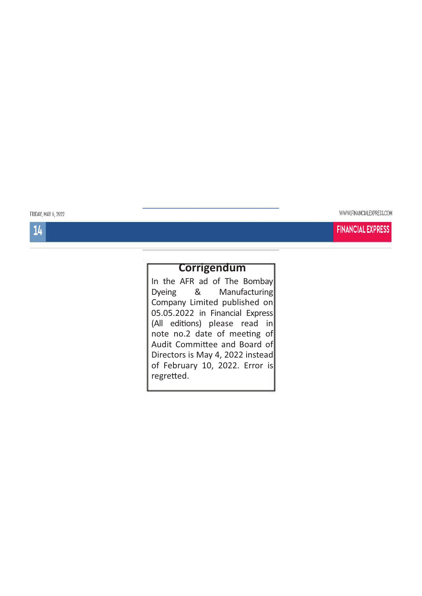**FINANCIAL EXPRESS** 

## **Corrigendum**

In the AFR ad of The Bombay Dyeing Manufacturing & Company Limited published on 05.05.2022 in Financial Express (All editions) please read in note no.2 date of meeting of Audit Committee and Board of Directors is May 4, 2022 instead of February 10, 2022. Error is regretted.